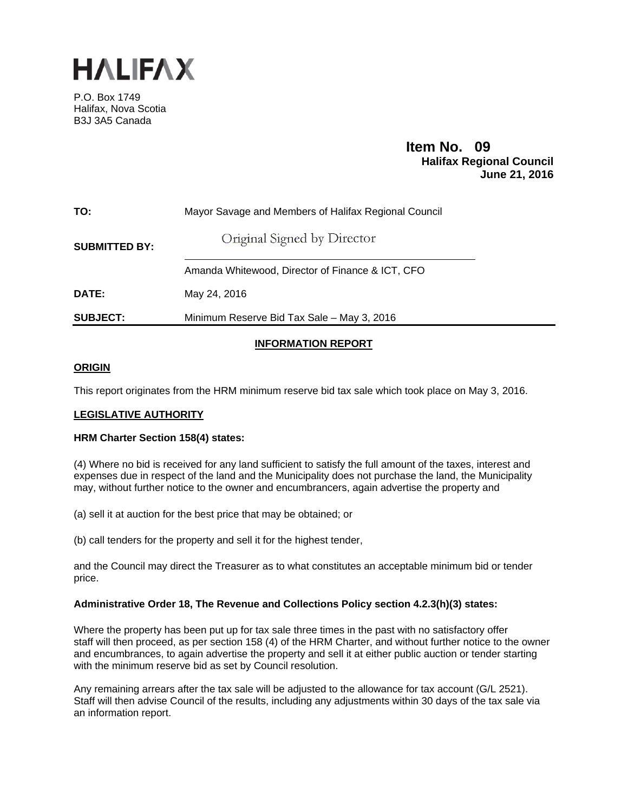

P.O. Box 1749 Halifax, Nova Scotia B3J 3A5 Canada

# **Item No. 09**<br>**Halifax Regional Council June 21, 2016**

| TO:                  | Mayor Savage and Members of Halifax Regional Council |  |  |  |  |  |  |  |  |
|----------------------|------------------------------------------------------|--|--|--|--|--|--|--|--|
| <b>SUBMITTED BY:</b> | Original Signed by Director                          |  |  |  |  |  |  |  |  |
|                      | Amanda Whitewood, Director of Finance & ICT, CFO     |  |  |  |  |  |  |  |  |
| DATE:                | May 24, 2016                                         |  |  |  |  |  |  |  |  |
| <b>SUBJECT:</b>      | Minimum Reserve Bid Tax Sale - May 3, 2016           |  |  |  |  |  |  |  |  |

# **INFORMATION REPORT**

# **ORIGIN**

This report originates from the HRM minimum reserve bid tax sale which took place on May 3, 2016.

# **LEGISLATIVE AUTHORITY**

## **HRM Charter Section 158(4) states:**

(4) Where no bid is received for any land sufficient to satisfy the full amount of the taxes, interest and expenses due in respect of the land and the Municipality does not purchase the land, the Municipality may, without further notice to the owner and encumbrancers, again advertise the property and

(a) sell it at auction for the best price that may be obtained; or

(b) call tenders for the property and sell it for the highest tender,

and the Council may direct the Treasurer as to what constitutes an acceptable minimum bid or tender price.

## **Administrative Order 18, The Revenue and Collections Policy section 4.2.3(h)(3) states:**

Where the property has been put up for tax sale three times in the past with no satisfactory offer staff will then proceed, as per section 158 (4) of the HRM Charter, and without further notice to the owner and encumbrances, to again advertise the property and sell it at either public auction or tender starting with the minimum reserve bid as set by Council resolution.

Any remaining arrears after the tax sale will be adjusted to the allowance for tax account (G/L 2521). Staff will then advise Council of the results, including any adjustments within 30 days of the tax sale via an information report.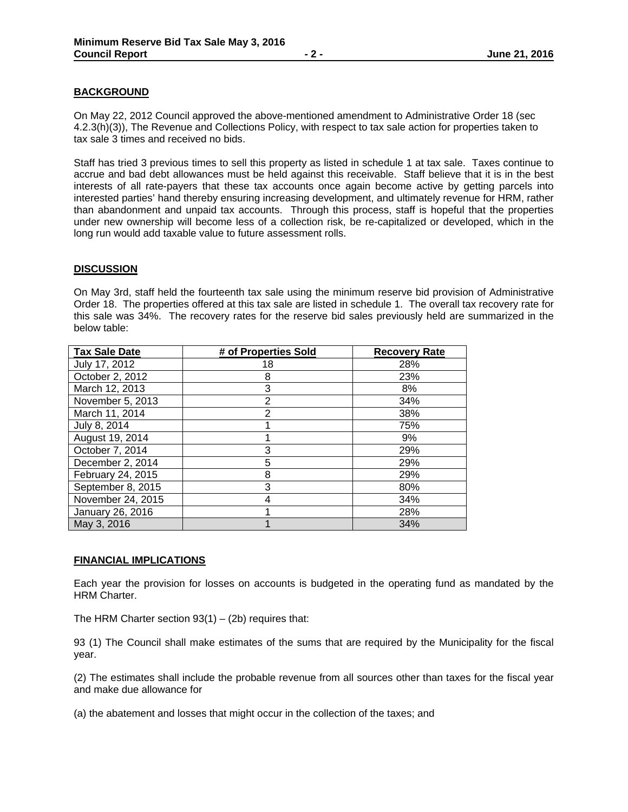# **BACKGROUND**

On May 22, 2012 Council approved the above-mentioned amendment to Administrative Order 18 (sec 4.2.3(h)(3)), The Revenue and Collections Policy, with respect to tax sale action for properties taken to tax sale 3 times and received no bids.

Staff has tried 3 previous times to sell this property as listed in schedule 1 at tax sale. Taxes continue to accrue and bad debt allowances must be held against this receivable. Staff believe that it is in the best interests of all rate-payers that these tax accounts once again become active by getting parcels into interested parties' hand thereby ensuring increasing development, and ultimately revenue for HRM, rather than abandonment and unpaid tax accounts. Through this process, staff is hopeful that the properties under new ownership will become less of a collection risk, be re-capitalized or developed, which in the long run would add taxable value to future assessment rolls.

## **DISCUSSION**

On May 3rd, staff held the fourteenth tax sale using the minimum reserve bid provision of Administrative Order 18. The properties offered at this tax sale are listed in schedule 1. The overall tax recovery rate for this sale was 34%. The recovery rates for the reserve bid sales previously held are summarized in the below table:

| <b>Tax Sale Date</b> | # of Properties Sold | <b>Recovery Rate</b> |  |  |  |  |  |  |
|----------------------|----------------------|----------------------|--|--|--|--|--|--|
| July 17, 2012        | 18                   | 28%                  |  |  |  |  |  |  |
| October 2, 2012      | 8                    | 23%                  |  |  |  |  |  |  |
| March 12, 2013       | 3                    | 8%                   |  |  |  |  |  |  |
| November 5, 2013     | $\overline{2}$       | 34%                  |  |  |  |  |  |  |
| March 11, 2014       | $\overline{2}$       | 38%                  |  |  |  |  |  |  |
| July 8, 2014         |                      | 75%                  |  |  |  |  |  |  |
| August 19, 2014      |                      | 9%                   |  |  |  |  |  |  |
| October 7, 2014      | 3                    | 29%                  |  |  |  |  |  |  |
| December 2, 2014     | 5                    | 29%                  |  |  |  |  |  |  |
| February 24, 2015    | 8                    | 29%                  |  |  |  |  |  |  |
| September 8, 2015    | 3                    | 80%                  |  |  |  |  |  |  |
| November 24, 2015    | 4                    | 34%                  |  |  |  |  |  |  |
| January 26, 2016     |                      | 28%                  |  |  |  |  |  |  |
| May 3, 2016          |                      | 34%                  |  |  |  |  |  |  |

#### **FINANCIAL IMPLICATIONS**

Each year the provision for losses on accounts is budgeted in the operating fund as mandated by the HRM Charter.

The HRM Charter section  $93(1) - (2b)$  requires that:

93 (1) The Council shall make estimates of the sums that are required by the Municipality for the fiscal year.

(2) The estimates shall include the probable revenue from all sources other than taxes for the fiscal year and make due allowance for

(a) the abatement and losses that might occur in the collection of the taxes; and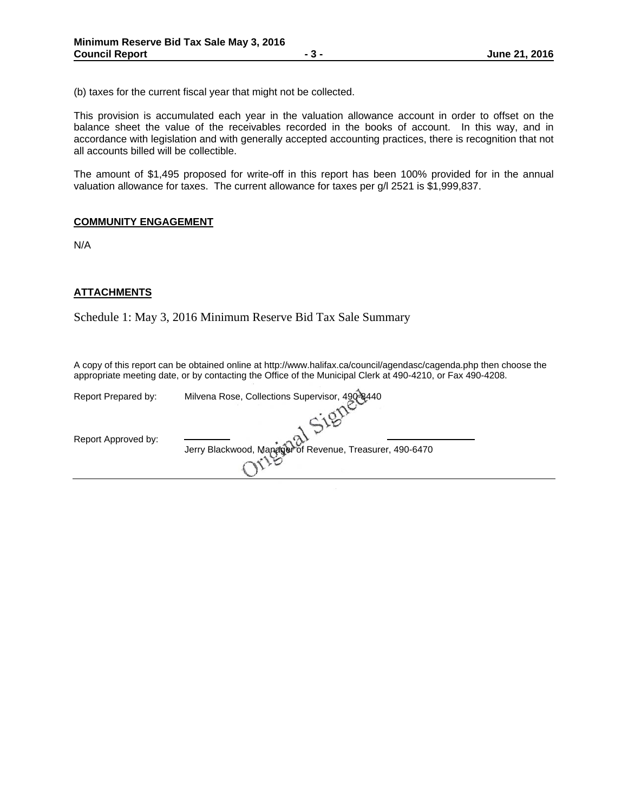(b) taxes for the current fiscal year that might not be collected.

This provision is accumulated each year in the valuation allowance account in order to offset on the balance sheet the value of the receivables recorded in the books of account. In this way, and in accordance with legislation and with generally accepted accounting practices, there is recognition that not all accounts billed will be collectible.

The amount of \$1,495 proposed for write-off in this report has been 100% provided for in the annual valuation allowance for taxes. The current allowance for taxes per g/l 2521 is \$1,999,837.

#### **COMMUNITY ENGAGEMENT**

N/A

## **ATTACHMENTS**

Schedule 1: May 3, 2016 Minimum Reserve Bid Tax Sale Summary

A copy of this report can be obtained online at http://www.halifax.ca/council/agendasc/cagenda.php then choose the appropriate meeting date, or by contacting the Office of the Municipal Clerk at 490-4210, or Fax 490-4208.

 $\mathbb{R}^2$ 

| Milvena Rose, Collections Supervisor, 490-8440           |
|----------------------------------------------------------|
|                                                          |
|                                                          |
| Jerry Blackwood, Manager of Revenue, Treasurer, 490-6470 |
|                                                          |
|                                                          |